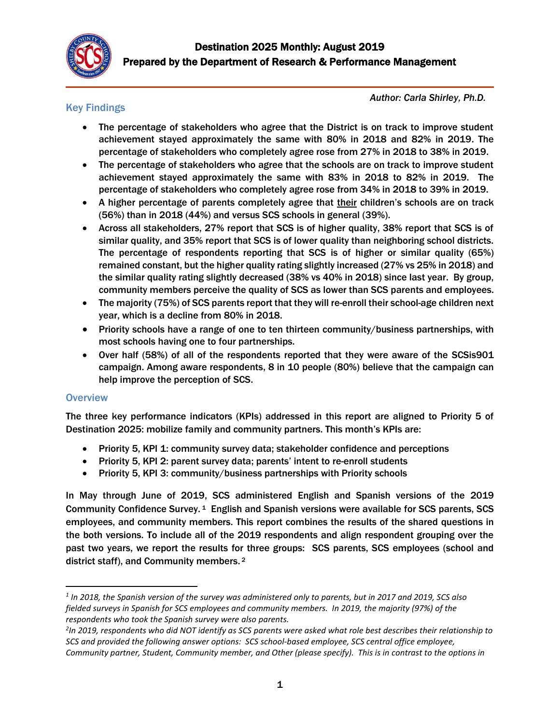

## Key Findings

*Author: Carla Shirley, Ph.D.*

- The percentage of stakeholders who agree that the District is on track to improve student achievement stayed approximately the same with 80% in 2018 and 82% in 2019. The percentage of stakeholders who completely agree rose from 27% in 2018 to 38% in 2019.
- The percentage of stakeholders who agree that the schools are on track to improve student achievement stayed approximately the same with 83% in 2018 to 82% in 2019. The percentage of stakeholders who completely agree rose from 34% in 2018 to 39% in 2019.
- A higher percentage of parents completely agree that their children's schools are on track (56%) than in 2018 (44%) and versus SCS schools in general (39%).
- Across all stakeholders, 27% report that SCS is of higher quality, 38% report that SCS is of similar quality, and 35% report that SCS is of lower quality than neighboring school districts. The percentage of respondents reporting that SCS is of higher or similar quality (65%) remained constant, but the higher quality rating slightly increased (27% vs 25% in 2018) and the similar quality rating slightly decreased (38% vs 40% in 2018) since last year. By group, community members perceive the quality of SCS as lower than SCS parents and employees.
- The majority (75%) of SCS parents report that they will re-enroll their school-age children next year, which is a decline from 80% in 2018.
- Priority schools have a range of one to ten thirteen community/business partnerships, with most schools having one to four partnerships.
- Over half (58%) of all of the respondents reported that they were aware of the SCSis901 campaign. Among aware respondents, 8 in 10 people (80%) believe that the campaign can help improve the perception of SCS.

## **Overview**

l

The three key performance indicators (KPIs) addressed in this report are aligned to Priority 5 of Destination 2025: mobilize family and community partners. This month's KPIs are:

- Priority 5, KPI 1: community survey data; stakeholder confidence and perceptions
- Priority 5, KPI 2: parent survey data; parents' intent to re-enroll students
- Priority 5, KPI 3: community/business partnerships with Priority schools

In May through June of 2019, SCS administered English and Spanish versions of the 2019 Community Confidence Survey.<sup>1</sup> English and Spanish versions were available for SCS parents, SCS employees, and community members. This report combines the results of the shared questions in the both versions. To include all of the 2019 respondents and align respondent grouping over the past two years, we report the results for three groups: SCS parents, SCS employees (school and district staff), and Community members.<sup>2</sup>

*<sup>1</sup> In 2018, the Spanish version of the survey was administered only to parents, but in 2017 and 2019, SCS also fielded surveys in Spanish for SCS employees and community members. In 2019, the majority (97%) of the respondents who took the Spanish survey were also parents.* 

*<sup>2</sup> In 2019, respondents who did NOT identify as SCS parents were asked what role best describes their relationship to SCS and provided the following answer options: SCS school-based employee, SCS central office employee, Community partner, Student, Community member, and Other (please specify). This is in contrast to the options in*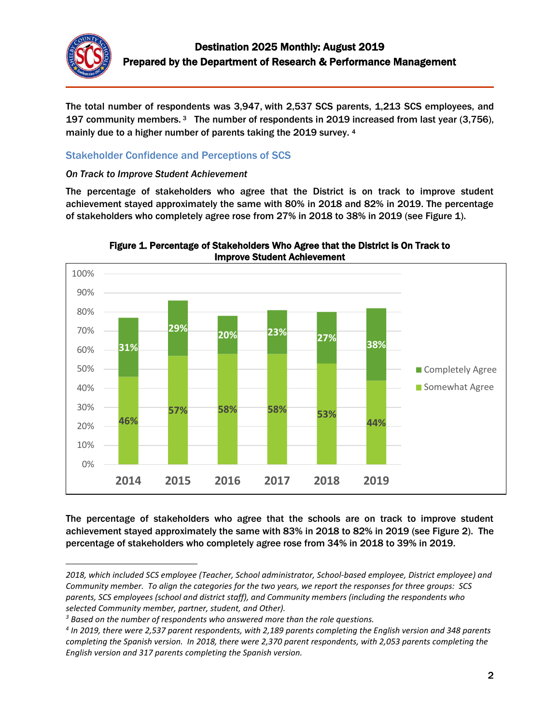

 $\overline{a}$ 

The total number of respondents was 3,947, with 2,537 SCS parents, 1,213 SCS employees, and 197 community members. 3 The number of respondents in 2019 increased from last year (3,756), mainly due to a higher number of parents taking the 2019 survey. <sup>4</sup>

## Stakeholder Confidence and Perceptions of SCS

#### *On Track to Improve Student Achievement*

The percentage of stakeholders who agree that the District is on track to improve student achievement stayed approximately the same with 80% in 2018 and 82% in 2019. The percentage of stakeholders who completely agree rose from 27% in 2018 to 38% in 2019 (see Figure 1).



Figure 1. Percentage of Stakeholders Who Agree that the District is On Track to Improve Student Achievement

The percentage of stakeholders who agree that the schools are on track to improve student achievement stayed approximately the same with 83% in 2018 to 82% in 2019 (see Figure 2). The percentage of stakeholders who completely agree rose from 34% in 2018 to 39% in 2019.

*<sup>2018,</sup> which included SCS employee (Teacher, School administrator, School-based employee, District employee) and Community member. To align the categories for the two years, we report the responses for three groups: SCS parents, SCS employees (school and district staff), and Community members (including the respondents who selected Community member, partner, student, and Other).*

*<sup>3</sup> Based on the number of respondents who answered more than the role questions.*

*<sup>4</sup> In 2019, there were 2,537 parent respondents, with 2,189 parents completing the English version and 348 parents completing the Spanish version. In 2018, there were 2,370 parent respondents, with 2,053 parents completing the English version and 317 parents completing the Spanish version.*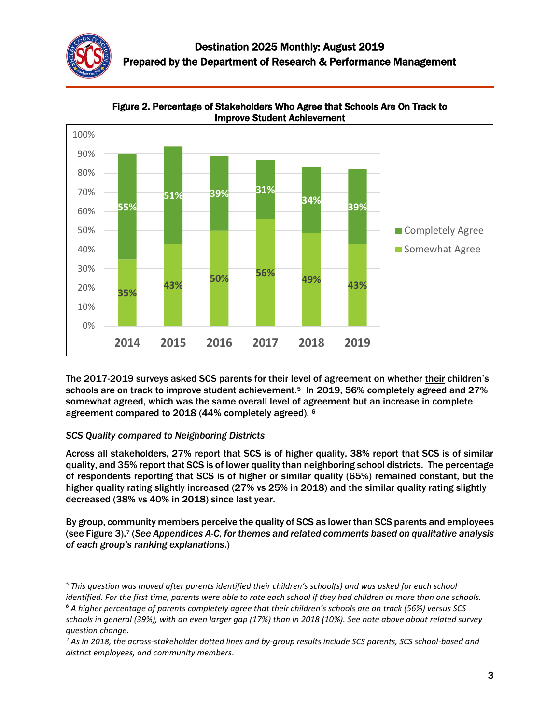



Figure 2. Percentage of Stakeholders Who Agree that Schools Are On Track to Improve Student Achievement

The 2017-2019 surveys asked SCS parents for their level of agreement on whether their children's schools are on track to improve student achievement.<sup>5</sup> In 2019, 56% completely agreed and 27% somewhat agreed, which was the same overall level of agreement but an increase in complete agreement compared to 2018 (44% completely agreed). <sup>6</sup>

#### *SCS Quality compared to Neighboring Districts*

 $\overline{\phantom{a}}$ 

Across all stakeholders, 27% report that SCS is of higher quality, 38% report that SCS is of similar quality, and 35% report that SCS is of lower quality than neighboring school districts. The percentage of respondents reporting that SCS is of higher or similar quality (65%) remained constant, but the higher quality rating slightly increased (27% vs 25% in 2018) and the similar quality rating slightly decreased (38% vs 40% in 2018) since last year.

By group, community members perceive the quality of SCS as lower than SCS parents and employees (see Figure 3).<sup>7</sup> (*See Appendices A-C, for themes and related comments based on qualitative analysis of each group's ranking explanations*.)

*<sup>5</sup> This question was moved after parents identified their children's school(s) and was asked for each school identified. For the first time, parents were able to rate each school if they had children at more than one schools.*

*<sup>6</sup> A higher percentage of parents completely agree that their children's schools are on track (56%) versus SCS schools in general (39%), with an even larger gap (17%) than in 2018 (10%). See note above about related survey question change.* 

*<sup>7</sup> As in 2018, the across-stakeholder dotted lines and by-group results include SCS parents, SCS school-based and district employees, and community members*.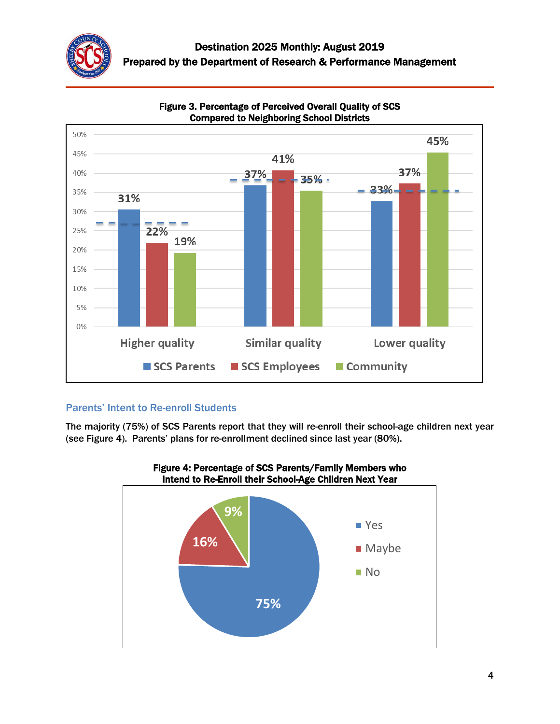



#### Figure 3. Percentage of Perceived Overall Quality of SCS Compared to Neighboring School Districts

## Parents' Intent to Re-enroll Students

The majority (75%) of SCS Parents report that they will re-enroll their school-age children next year (see Figure 4). Parents' plans for re-enrollment declined since last year (80%).



# Figure 4: Percentage of SCS Parents/Family Members who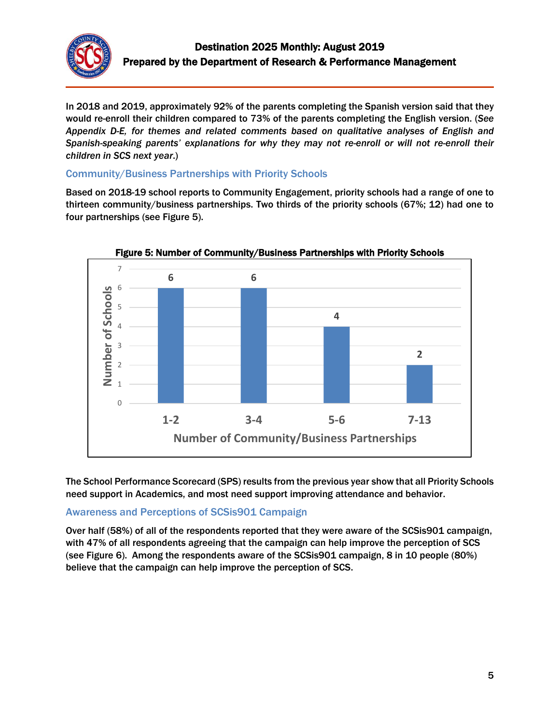

In 2018 and 2019, approximately 92% of the parents completing the Spanish version said that they would re-enroll their children compared to 73% of the parents completing the English version. (*See Appendix D-E, for themes and related comments based on qualitative analyses of English and Spanish-speaking parents' explanations for why they may not re-enroll or will not re-enroll their children in SCS next year*.)

### Community/Business Partnerships with Priority Schools

Based on 2018-19 school reports to Community Engagement, priority schools had a range of one to thirteen community/business partnerships. Two thirds of the priority schools (67%; 12) had one to four partnerships (see Figure 5).



Figure 5: Number of Community/Business Partnerships with Priority Schools

The School Performance Scorecard (SPS) results from the previous year show that all Priority Schools need support in Academics, and most need support improving attendance and behavior.

## Awareness and Perceptions of SCSis901 Campaign

Over half (58%) of all of the respondents reported that they were aware of the SCSis901 campaign, with 47% of all respondents agreeing that the campaign can help improve the perception of SCS (see Figure 6). Among the respondents aware of the SCSis901 campaign, 8 in 10 people (80%) believe that the campaign can help improve the perception of SCS.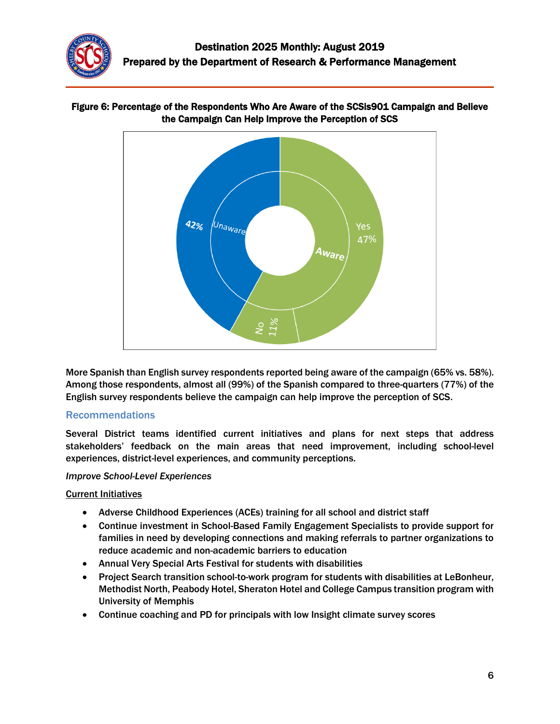



#### Figure 6: Percentage of the Respondents Who Are Aware of the SCSis901 Campaign and Believe the Campaign Can Help Improve the Perception of SCS

More Spanish than English survey respondents reported being aware of the campaign (65% vs. 58%). Among those respondents, almost all (99%) of the Spanish compared to three-quarters (77%) of the English survey respondents believe the campaign can help improve the perception of SCS.

#### Recommendations

Several District teams identified current initiatives and plans for next steps that address stakeholders' feedback on the main areas that need improvement, including school-level experiences, district-level experiences, and community perceptions.

#### *Improve School-Level Experiences*

#### Current Initiatives

- Adverse Childhood Experiences (ACEs) training for all school and district staff
- Continue investment in School-Based Family Engagement Specialists to provide support for families in need by developing connections and making referrals to partner organizations to reduce academic and non-academic barriers to education
- Annual Very Special Arts Festival for students with disabilities
- Project Search transition school-to-work program for students with disabilities at LeBonheur, Methodist North, Peabody Hotel, Sheraton Hotel and College Campus transition program with University of Memphis
- Continue coaching and PD for principals with low Insight climate survey scores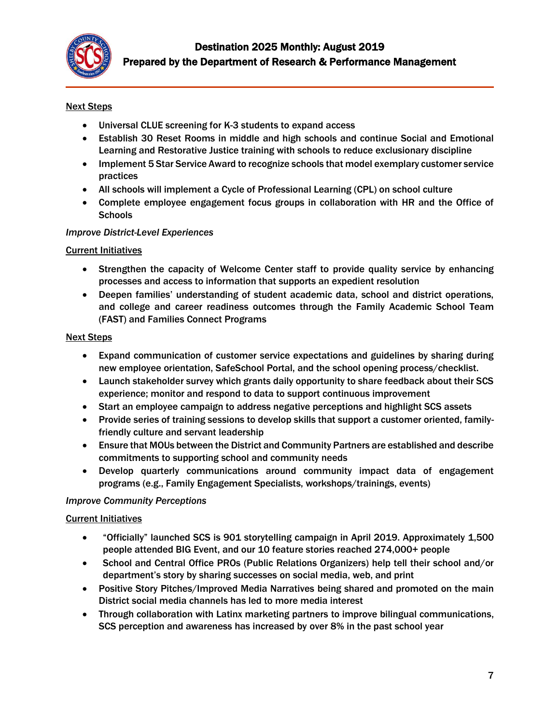

#### Next Steps

- Universal CLUE screening for K-3 students to expand access
- Establish 30 Reset Rooms in middle and high schools and continue Social and Emotional Learning and Restorative Justice training with schools to reduce exclusionary discipline
- Implement 5 Star Service Award to recognize schools that model exemplary customer service practices
- All schools will implement a Cycle of Professional Learning (CPL) on school culture
- Complete employee engagement focus groups in collaboration with HR and the Office of **Schools**

#### *Improve District-Level Experiences*

#### Current Initiatives

- Strengthen the capacity of Welcome Center staff to provide quality service by enhancing processes and access to information that supports an expedient resolution
- Deepen families' understanding of student academic data, school and district operations, and college and career readiness outcomes through the Family Academic School Team (FAST) and Families Connect Programs

#### Next Steps

- Expand communication of customer service expectations and guidelines by sharing during new employee orientation, SafeSchool Portal, and the school opening process/checklist.
- Launch stakeholder survey which grants daily opportunity to share feedback about their SCS experience; monitor and respond to data to support continuous improvement
- Start an employee campaign to address negative perceptions and highlight SCS assets
- Provide series of training sessions to develop skills that support a customer oriented, familyfriendly culture and servant leadership
- Ensure that MOUs between the District and Community Partners are established and describe commitments to supporting school and community needs
- Develop quarterly communications around community impact data of engagement programs (e.g., Family Engagement Specialists, workshops/trainings, events)

#### *Improve Community Perceptions*

#### Current Initiatives

- "Officially" launched SCS is 901 storytelling campaign in April 2019. Approximately 1,500 people attended BIG Event, and our 10 feature stories reached 274,000+ people
- School and Central Office PROs (Public Relations Organizers) help tell their school and/or department's story by sharing successes on social media, web, and print
- Positive Story Pitches/Improved Media Narratives being shared and promoted on the main District social media channels has led to more media interest
- Through collaboration with Latinx marketing partners to improve bilingual communications, SCS perception and awareness has increased by over 8% in the past school year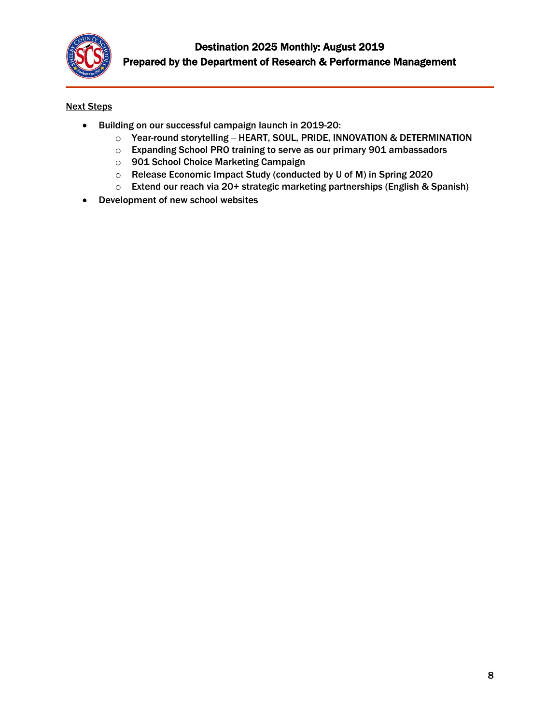

#### Next Steps

- Building on our successful campaign launch in 2019-20:
	- o Year-round storytelling HEART, SOUL, PRIDE, INNOVATION & DETERMINATION
	- o Expanding School PRO training to serve as our primary 901 ambassadors
	- o 901 School Choice Marketing Campaign
	- o Release Economic Impact Study (conducted by U of M) in Spring 2020
	- o Extend our reach via 20+ strategic marketing partnerships (English & Spanish)
- Development of new school websites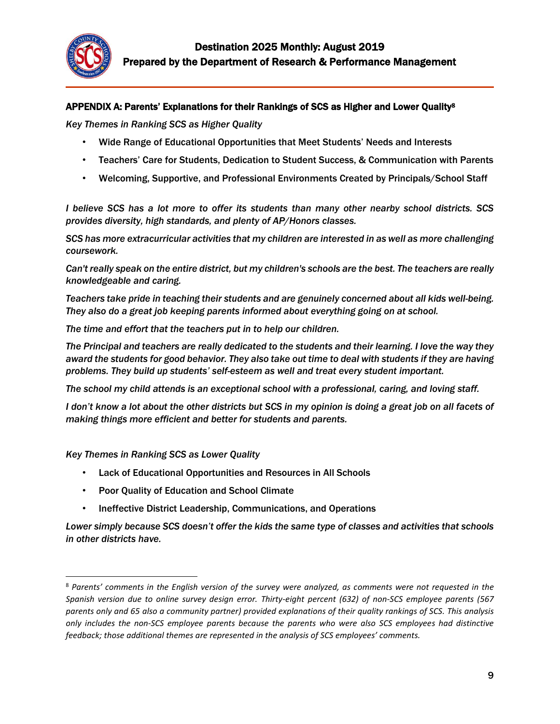

#### APPENDIX A: Parents' Explanations for their Rankings of SCS as Higher and Lower Quality<sup>8</sup>

*Key Themes in Ranking SCS as Higher Quality*

- Wide Range of Educational Opportunities that Meet Students' Needs and Interests
- Teachers' Care for Students, Dedication to Student Success, & Communication with Parents
- Welcoming, Supportive, and Professional Environments Created by Principals/School Staff

*I believe SCS has a lot more to offer its students than many other nearby school districts. SCS provides diversity, high standards, and plenty of AP/Honors classes.*

*SCS has more extracurricular activities that my children are interested in as well as more challenging coursework.*

*Can't really speak on the entire district, but my children's schools are the best. The teachers are really knowledgeable and caring.*

*Teachers take pride in teaching their students and are genuinely concerned about all kids well-being. They also do a great job keeping parents informed about everything going on at school.*

*The time and effort that the teachers put in to help our children.*

*The Principal and teachers are really dedicated to the students and their learning. I love the way they award the students for good behavior. They also take out time to deal with students if they are having problems. They build up students' self-esteem as well and treat every student important.*

*The school my child attends is an exceptional school with a professional, caring, and loving staff.*

*I don't know a lot about the other districts but SCS in my opinion is doing a great job on all facets of making things more efficient and better for students and parents.*

*Key Themes in Ranking SCS as Lower Quality*

l

- Lack of Educational Opportunities and Resources in All Schools
- Poor Quality of Education and School Climate
- Ineffective District Leadership, Communications, and Operations

*Lower simply because SCS doesn't offer the kids the same type of classes and activities that schools in other districts have.*

<sup>8</sup> *Parents' comments in the English version of the survey were analyzed, as comments were not requested in the Spanish version due to online survey design error. Thirty-eight percent (632) of non-SCS employee parents (567 parents only and 65 also a community partner) provided explanations of their quality rankings of SCS. This analysis only includes the non-SCS employee parents because the parents who were also SCS employees had distinctive feedback; those additional themes are represented in the analysis of SCS employees' comments.*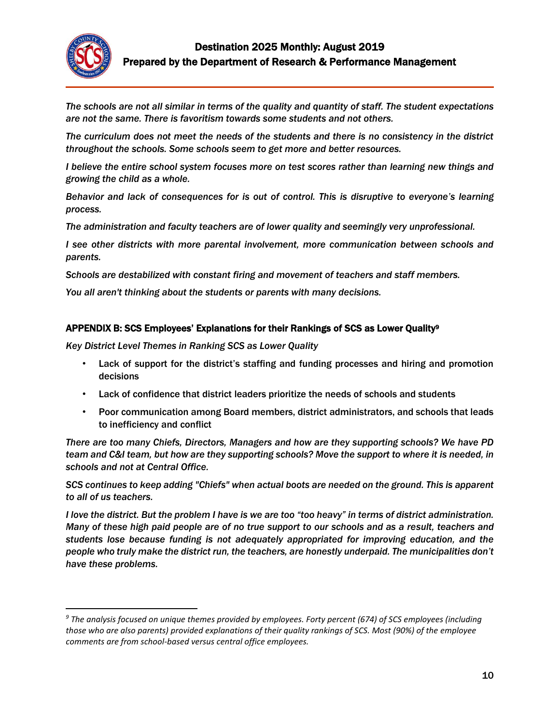

l

*The schools are not all similar in terms of the quality and quantity of staff. The student expectations are not the same. There is favoritism towards some students and not others.*

*The curriculum does not meet the needs of the students and there is no consistency in the district throughout the schools. Some schools seem to get more and better resources.* 

*I believe the entire school system focuses more on test scores rather than learning new things and growing the child as a whole.*

*Behavior and lack of consequences for is out of control. This is disruptive to everyone's learning process.*

*The administration and faculty teachers are of lower quality and seemingly very unprofessional.*

*I see other districts with more parental involvement, more communication between schools and parents.*

*Schools are destabilized with constant firing and movement of teachers and staff members.*

*You all aren't thinking about the students or parents with many decisions.*

#### APPENDIX B: SCS Employees' Explanations for their Rankings of SCS as Lower Quality<sup>9</sup>

*Key District Level Themes in Ranking SCS as Lower Quality*

- Lack of support for the district's staffing and funding processes and hiring and promotion decisions
- Lack of confidence that district leaders prioritize the needs of schools and students
- Poor communication among Board members, district administrators, and schools that leads to inefficiency and conflict

*There are too many Chiefs, Directors, Managers and how are they supporting schools? We have PD team and C&I team, but how are they supporting schools? Move the support to where it is needed, in schools and not at Central Office.*

*SCS continues to keep adding "Chiefs" when actual boots are needed on the ground. This is apparent to all of us teachers.*

*I love the district. But the problem I have is we are too "too heavy" in terms of district administration. Many of these high paid people are of no true support to our schools and as a result, teachers and students lose because funding is not adequately appropriated for improving education, and the people who truly make the district run, the teachers, are honestly underpaid. The municipalities don't have these problems.*

*<sup>9</sup> The analysis focused on unique themes provided by employees. Forty percent (674) of SCS employees (including those who are also parents) provided explanations of their quality rankings of SCS. Most (90%) of the employee comments are from school-based versus central office employees.*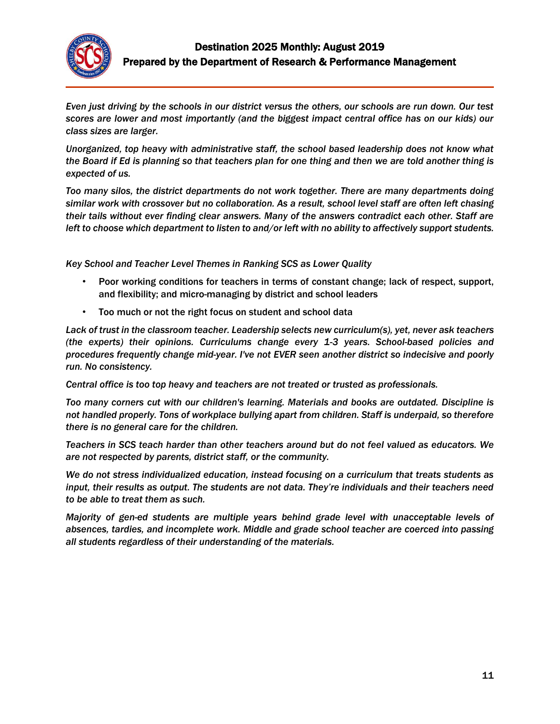

*Even just driving by the schools in our district versus the others, our schools are run down. Our test scores are lower and most importantly (and the biggest impact central office has on our kids) our class sizes are larger.*

*Unorganized, top heavy with administrative staff, the school based leadership does not know what the Board if Ed is planning so that teachers plan for one thing and then we are told another thing is expected of us.*

*Too many silos, the district departments do not work together. There are many departments doing similar work with crossover but no collaboration. As a result, school level staff are often left chasing their tails without ever finding clear answers. Many of the answers contradict each other. Staff are left to choose which department to listen to and/or left with no ability to affectively support students.*

*Key School and Teacher Level Themes in Ranking SCS as Lower Quality*

- Poor working conditions for teachers in terms of constant change; lack of respect, support, and flexibility; and micro-managing by district and school leaders
- Too much or not the right focus on student and school data

*Lack of trust in the classroom teacher. Leadership selects new curriculum(s), yet, never ask teachers (the experts) their opinions. Curriculums change every 1-3 years. School-based policies and procedures frequently change mid-year. I've not EVER seen another district so indecisive and poorly run. No consistency.* 

*Central office is too top heavy and teachers are not treated or trusted as professionals.* 

*Too many corners cut with our children's learning. Materials and books are outdated. Discipline is not handled properly. Tons of workplace bullying apart from children. Staff is underpaid, so therefore there is no general care for the children.*

*Teachers in SCS teach harder than other teachers around but do not feel valued as educators. We are not respected by parents, district staff, or the community.*

*We do not stress individualized education, instead focusing on a curriculum that treats students as input, their results as output. The students are not data. They're individuals and their teachers need to be able to treat them as such.* 

*Majority of gen-ed students are multiple years behind grade level with unacceptable levels of absences, tardies, and incomplete work. Middle and grade school teacher are coerced into passing all students regardless of their understanding of the materials.*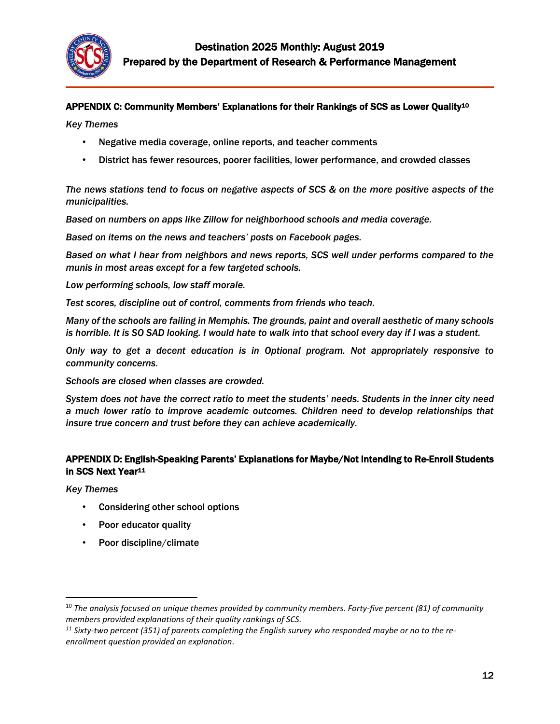

#### APPENDIX C: Community Members' Explanations for their Rankings of SCS as Lower Quality<sup>10</sup>

*Key Themes*

- Negative media coverage, online reports, and teacher comments
- District has fewer resources, poorer facilities, lower performance, and crowded classes

*The news stations tend to focus on negative aspects of SCS & on the more positive aspects of the municipalities.*

*Based on numbers on apps like Zillow for neighborhood schools and media coverage.*

*Based on items on the news and teachers' posts on Facebook pages.*

*Based on what I hear from neighbors and news reports, SCS well under performs compared to the munis in most areas except for a few targeted schools.* 

*Low performing schools, low staff morale.*

*Test scores, discipline out of control, comments from friends who teach.*

*Many of the schools are failing in Memphis. The grounds, paint and overall aesthetic of many schools is horrible. It is SO SAD looking. I would hate to walk into that school every day if I was a student.* 

*Only way to get a decent education is in Optional program. Not appropriately responsive to community concerns.*

*Schools are closed when classes are crowded.*

*System does not have the correct ratio to meet the students' needs. Students in the inner city need a much lower ratio to improve academic outcomes. Children need to develop relationships that insure true concern and trust before they can achieve academically.*

#### APPENDIX D: English-Speaking Parents' Explanations for Maybe/Not Intending to Re-Enroll Students in SCS Next Year<sup>11</sup>

*Key Themes*

 $\overline{\phantom{a}}$ 

- Considering other school options
- Poor educator quality
- Poor discipline/climate

<sup>10</sup> *The analysis focused on unique themes provided by community members. Forty-five percent (81) of community members provided explanations of their quality rankings of SCS.*

*<sup>11</sup> Sixty-two percent (351) of parents completing the English survey who responded maybe or no to the reenrollment question provided an explanation.*